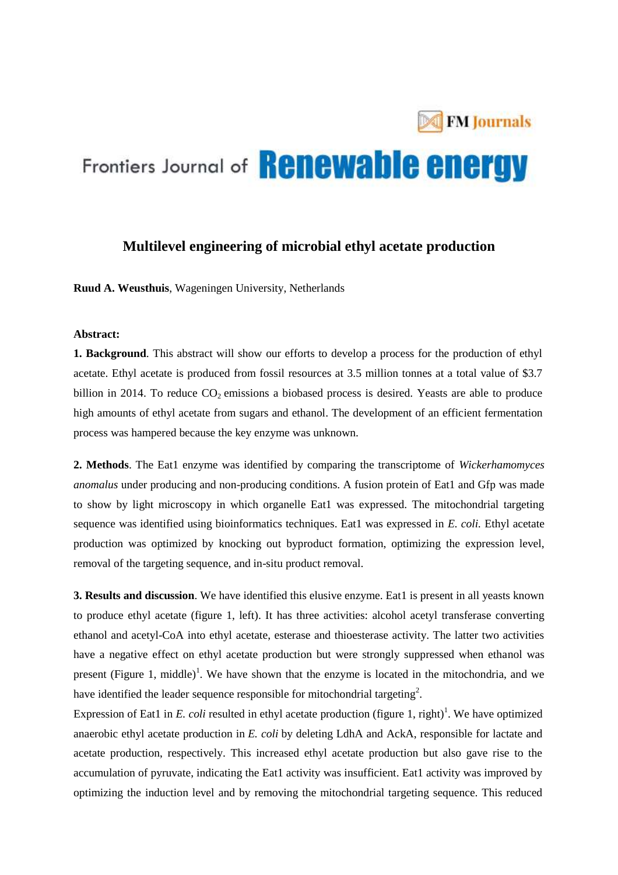

# Frontiers Journal of **Renewable energy**

## **Multilevel engineering of microbial ethyl acetate production**

**Ruud A. Weusthuis**, Wageningen University, Netherlands

### **Abstract:**

**1. Background**. This abstract will show our efforts to develop a process for the production of ethyl acetate. Ethyl acetate is produced from fossil resources at 3.5 million tonnes at a total value of \$3.7 billion in 2014. To reduce  $CO_2$  emissions a biobased process is desired. Yeasts are able to produce high amounts of ethyl acetate from sugars and ethanol. The development of an efficient fermentation process was hampered because the key enzyme was unknown.

**2. Methods**. The Eat1 enzyme was identified by comparing the transcriptome of *Wickerhamomyces anomalus* under producing and non-producing conditions. A fusion protein of Eat1 and Gfp was made to show by light microscopy in which organelle Eat1 was expressed. The mitochondrial targeting sequence was identified using bioinformatics techniques. Eat1 was expressed in *E. coli.* Ethyl acetate production was optimized by knocking out byproduct formation, optimizing the expression level, removal of the targeting sequence, and in-situ product removal.

**3. Results and discussion**. We have identified this elusive enzyme. Eat1 is present in all yeasts known to produce ethyl acetate (figure 1, left). It has three activities: alcohol acetyl transferase converting ethanol and acetyl-CoA into ethyl acetate, esterase and thioesterase activity. The latter two activities have a negative effect on ethyl acetate production but were strongly suppressed when ethanol was present (Figure 1, middle)<sup>1</sup>. We have shown that the enzyme is located in the mitochondria, and we have identified the leader sequence responsible for mitochondrial targeting<sup>2</sup>.

Expression of Eat1 in  $E$ . *coli* resulted in ethyl acetate production (figure 1, right)<sup>1</sup>. We have optimized anaerobic ethyl acetate production in *E. coli* by deleting LdhA and AckA, responsible for lactate and acetate production, respectively. This increased ethyl acetate production but also gave rise to the accumulation of pyruvate, indicating the Eat1 activity was insufficient. Eat1 activity was improved by optimizing the induction level and by removing the mitochondrial targeting sequence. This reduced